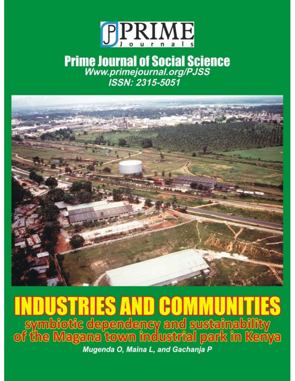

# **Prime Journal of Social Science**<br>Www.primejournal.org/PJSS<br>ISSN: 2315-5051



## RIS AND GO symbiotic dependency and sustainability<br>of the Magana town industrial park in Kenya Mugenda O, Maina L, and Gachanja P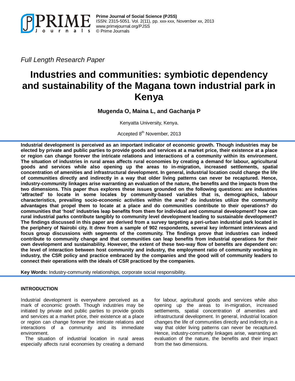

**Prime Journal of Social Science (PJSS)** ISSN: 2315-5051. Vol. 2(11), pp. xxx-xxx, November xx, 2013 [www.primejournal.org/PJSS](http://www.primejournal.org/PJSS) © Prime Journals

*Full Length Research Paper*

### **Industries and communities: symbiotic dependency and sustainability of the Magana town industrial park in Kenya**

**Mugenda O, Maina L, and Gachanja P**

Kenyatta University, Kenya.

Accepted 8<sup>th</sup> November, 2013

**Industrial development is perceived as an important indicator of economic growth. Though industries may be elected by private and public parties to provide goods and services at a market price, their existence at a place or region can change forever the intricate relations and interactions of a community within its environment. The situation of industries in rural areas affects rural economies by creating a demand for labour, agricultural goods and services while also opening up the areas to in-migration, increased settlements, spatial concentration of amenities and infrastructural development. In general, industrial location could change the life of communities directly and indirectly in a way that older living patterns can never be recaptured. Hence, industry-community linkages arise warranting an evaluation of the nature, the benefits and the impacts from the two dimensions. This paper thus explores these issues grounded on the following questions: are industries 'attracted' to locate in some locales by community-based variables that is, demographics, labour characteristics, prevailing socio-economic activities within the area? do industries utilize the community advantages that propel them to locate at a place and do communities contribute to their operations? do communities that 'host' industries leap benefits from them for individual and communal development? how can rural industrial parks contribute tangibly to community level development leading to sustainable development? The findings discussed in this paper are derived from a survey targeting a peri-urban industrial park located in the periphery of Nairobi city. It drew from a sample of 902 respondents, several key informant interviews and focus group discussions with segments of the community. The findings prove that industries can indeed contribute to community change and that communities can leap benefits from industrial operations for their own development and sustainability. However, the extent of these two-way flow of benefits are dependent on: the level of interaction between host community and industry, the employment ratio of community working in industry, the CSR policy and practice embraced by the companies and the good will of community leaders to connect their operations with the ideals of CSR practiced by the companies.**

**Key Words:** Industry-community relationships, corporate social responsibility.

#### **INTRODUCTION**

Industrial development is everywhere perceived as a mark of economic growth. Though industries may be initiated by private and public parties to provide goods and services at a market price, their existence at a place or region can change forever the intricate relations and interactions of a community and its immediate environment.

The situation of industrial location in rural areas especially affects rural economies by creating a demand for labour, agricultural goods and services while also opening up the areas to in-migration, increased settlements, spatial concentration of amenities and infrastructural development. In general, industrial location changes the life of communities directly and indirectly in a way that older living patterns can never be recaptured. Hence, industry-community linkages arise, warranting an evaluation of the nature, the benefits and their impact from the two dimensions.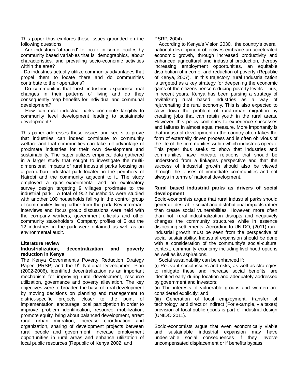This paper thus explores these issues grounded on the following questions:

- Are industries 'attracted' to locate in some locales by community based variables that is, demographics, labour characteristics, and prevailing socio-economic activities within the area?

- Do industries actually utilize community advantages that propel them to locate there and do communities contribute to their operations?

- Do communities that 'host' industries experience real changes in their patterns of living and do they consequently reap benefits for individual and communal development?

- How can rural industrial parks contribute tangibly to community level development leading to sustainable development?

This paper addresses these issues and seeks to prove that industries can indeed contribute to community welfare and that communities can take full advantage of proximate industries for their own development and sustainability. The paper utilizes empirical data gathered in a larger study that sought to investigate the multidimensional impacts of rural industrial parks focusing on a peri-urban industrial park located in the periphery of Nairobi and the community adjacent to it. The study employed a quasi-experimental and an exploratory survey design targeting 9 villages proximate to the industrial park. A total of 902 households were studied with another 100 households falling in the control group of communities living further from the park. Key informant interviews and focus group discussions were held with the company workers, government officials and other community stakeholders. Company profiles of 5 out the 12 industries in the park were obtained as well as an environmental audit.

#### **Literature review**

#### **Industrialization, decentralization and poverty reduction in Kenya**

The Kenya Government's Poverty Reduction Strategy Paper (PRSP) and the  $9<sup>th</sup>$  National Development Plan (2002-2006), identified decentralization as an important mechanism for improving rural development, resource utilization, governance and poverty alleviation. The key objectives were to broaden the base of rural development by moving decisions on planning and management to district-specific projects closer to the point of implementation, encourage local participation in order to improve problem identification, resource mobilization, promote equity, bring about balanced development, arrest rural urban migration, increase coordination and organization, sharing of development projects between rural people and government, increase employment opportunities in rural areas and enhance utilization of local public resources (Republic of Kenya 2002; and

PSRP, 2004).

According to Kenya's Vision 2030, the country's overall national development objectives embrace an accelerated economic growth, through increased productivity and enhanced agricultural and industrial production, thereby increasing employment opportunities, an equitable distribution of income, and reduction of poverty (Republic of Kenya, 2007). In this trajectory, rural Industrialization is targeted as a key strategy for deepening the economic gains of the citizens hence reducing poverty levels. Thus, in recent years, Kenya has been pursing a strategy of revitalizing rural based industries as a way of rejuvenating the rural economy. This is also expected to slow down the problem of rural-urban migration by creating jobs that can retain youth in the rural areas. However, this policy continues to experience successes and failures in almost equal measure. More importantly is that industrial development in the country often takes the form of externally driven process and is often oblivious of the life of the communities within which industries operate. This paper thus seeks to show that industries and communities have intricate relations that should be understood from a linkages perspective and that the success of industrial growth should also be viewed through the lenses of immediate communities and not always in terms of national development.

#### **Rural based industrial parks as drivers of social development**

Socio-economists argue that rural industrial parks should generate desirable social and distributional impacts rather than create social vulnerabilities. However, more often than not, rural industrialization disrupts and negatively changes the community structures while in essence dislocating settlements. According to UNIDO, (2011) rural industrial growth must be seen from the perspective of social sustainability. Industrial expansion should be done with a consideration of the community's social-cultural context, community economy including livelihood options as well as its aspirations.

Social sustainability can be enhanced if:

(i) Relevant social issues and risks, as well as strategies to mitigate these and increase social benefits, are identified early during location and adequately addressed by government and investors;

(ii) The interests of vulnerable groups and women are considered explicitly; and

(iii) Generation of local employment, transfer of technology, and direct or indirect (For example, via taxes) provision of local public goods is part of industrial design (UNIDO 2011).

Socio-economists argue that even economically viable and sustainable industrial expansion may have undesirable social consequences if they involve uncompensated displacement or if benefits bypass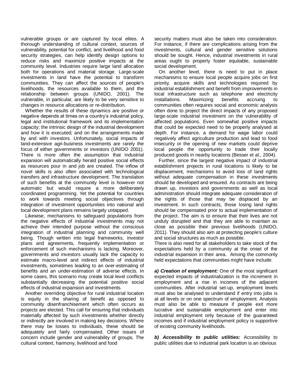vulnerable groups or are captured by local elites. A thorough understanding of cultural context, sources of vulnerability, potential for conflict, and livelihood and food security strategies, can help identify design options to reduce risks and maximize positive impacts at the community level. Industries require large land allocation both for operations and material storage. Large-scale investments in land have the potential to transform communities. They can affect the sources of people's livelihoods, the resources available to them, and the relationship between groups (UNIDO, 2001). The vulnerable, in particular, are likely to be very sensitive to changes in resource allocations or re-distribution.

Whether the results of these dynamics are positive or negative depends at times on a country's industrial policy, legal and institutional framework and its implementation capacity; the intrinsic design of the industrial development and how it is executed; and on the arrangements made by and with investors. Unfortunately, social impacts of land-extensive agri-business investments are rarely the focus of either governments or investors (UNIDO 2001). There is more often the assumption that industrial expansion will automatically herald positive social effects as resources pour in and job are created. The inflow of novel skills is also often associated with technological transfers and infrastructure development. The translation of such benefits at the community level is however not automatic but would require a more deliberately coordinated programming. Yet the potential for countries to work towards meeting social objectives through integration of investment opportunities into national and local development plans remains largely untapped.

Likewise, mechanisms to safeguard populations from the negative effects of industrial investments may not achieve their intended purpose without the conscious integration of industrial planning and community well being. Though written into legal frameworks, investor plans and agreements, frequently implementation or enforcement of such mechanisms is lacking. Moreover, governments and investors usually lack the capacity to estimate macro-level and indirect effects of industrial investments, sometimes leading to an over-estimating of benefits and an under-estimation of adverse effects. In some cases, this scenario may create local level conflicts substantially decreasing the potential positive social effects of industrial expansion and investments.

Another overriding objective for rural industrial location is equity in the sharing of benefit as opposed to community disenfranchisement which often occurs as projects are elected. This call for ensuring that individuals materially affected by such investments whether directly or indirectly are involved in making key decisions. Where there may be losses to individuals, these should be adequately and fairly compensated. Other issues of concern include gender and vulnerability of groups. The cultural context, harmony, livelihood and food

security matters must also be taken into consideration. For instance, if there are complications arising from the investments, cultural and gender sensitive solutions should be sought. Hence, industrial investments in rural areas ought to properly foster equitable, sustainable social development.

On another level, there is need to put in place mechanisms to ensure local people acquire jobs on first priority, acquire skills and technologies required by industrial establishment and benefit from improvements in local infrastructure such as telephone and electricity installations. Maximizing benefits accruing to communities often requires social and economic analysis often done to project the direct impacts of any proposed large-scale industrial investment on the vulnerability of affected populations. Even somewhat positive impacts that could be expected need to be properly analysed at depth. For instance, a demand for wage labor could negatively affect agriculture production and lead to food insecurity or the opening of new markets could deprive local people the opportunity to trade their locally produced goods in nearby locations (Besser et al., 2004).

Further, since the largest negative impact of industrial establishment projects in rural locations is likely to be displacement, mechanisms to avoid loss of land rights without adequate compensation in these investments should be developed and ensured. As contracts are being drawn up, investors and governments as well as local administration should integrate adequate consideration of the rights of those that may be displaced by an investment. In such contracts, those losing land rights should be compensated prior to actual implementation of the project. The aim is to ensure that their lives are not unduly disrupted and that they are able to maintain as close as possible their previous livelihoods (UNIDO, 2011). They should also aim at protecting people's culture and social structures as much as possible.

There is also need for all stakeholders to take stock of the expectations held by a community at the onset of the industrial expansion in their area. Among the commonly held expectations that communities might have include:

*a) Creation of employment:* One of the most significant expected impacts of industrialization is the increment in employment and a rise in incomes of the adjacent communities. After industrial set-up, employment levels must also be analysed to understand if entry into jobs is at all levels or on one spectrum of employment. Analysis must also be able to measure if people exit more lucrative and sustainable employment and enter into industrial employment only because of the guaranteed incomes and if industrial employment policy is supportive of existing community livelihoods.

*b) Accessibility to public utilities:* Accessibility to public utilities due to industrial park location is an obvious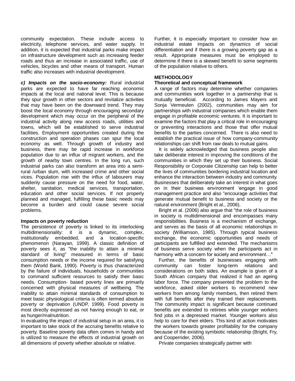community expectation. These include access to electricity, telephone services, and water supply. In addition, it is expected that industrial parks make impact on infrastructure development such as increasing feeder roads and thus an increase in associated traffic, use of vehicles, bicycles and other means of transport. Human traffic also increases with industrial development.

*c) Impacts on the socio-economy:* Rural industrial parks are expected to have far reaching economic impacts at the local and national level. This is because they spur growth in other sectors and revitalize activities that may have been on the downward trend. They may boost the local economy through encouraging secondary development which may occur on the peripheral of the industrial activity along new access roads, utilities and towns, which will be established to serve industrial facilities. Employment opportunities created during the construction and operation phases can spur the local economy as well. Through growth of industry and business, there may be rapid increase in workforce population due to an influx of migrant workers, and the growth of nearby town centres. In the long run, such industrial parks can also transform an area into a semirural /urban slum, with increased crime and other social vices. Population rise with the influx of labourers may suddenly cause pressure on the need for food, water, shelter, sanitation, medical services, transportation, education and other social services. If not properly planned and managed, fulfilling these basic needs may become a burden and could cause severe social problems.

#### **Impacts on poverty reduction**

The persistence of poverty is linked to its interlocking multidimensionality: it is a dynamic, complex, institutionally embedded, and a location-specific phenomenon (Narayan, 1999). A classic definition of poverty sees it, as "the inability to attain a minimal standard of living" measured in terms of basic consumption needs or the income required for satisfying them (World Bank, 1990). Poverty is thus characterized by the failure of individuals, households or communities to command sufficient resources to satisfy their basic needs. Consumption- based poverty lines are primarily concerned with physical measures of wellbeing. The inability to attain minimal standards of consumption to meet basic physiological criteria is often termed absolute poverty or deprivation (UNDP, 1999). Food poverty is most directly expressed as not having enough to eat, or as hunger/malnutrition.

In evaluating the impact of industrial setup in an area, it is important to take stock of the accruing benefits relative to poverty. Baseline poverty data often comes in handy and is utilized to measure the effects of industrial growth on all dimensions of poverty whether absolute or relative.

Further, it is especially important to consider how an industrial estate impacts on dynamics of social differentiation and if there is a growing poverty gap as a result. Appropriate measures must be employed to determine if there is a skewed benefit to some segments of the population relative to others.

#### **METHODOLOGY**

#### **Theoretical and conceptual framework**

A range of factors may determine whether companies and communities work together in a partnership that is mutually beneficial. According to James Mayers and Sonja Vermeulen (2002), communities may aim for partnerships with industrial companies which enable them engage in profitable economic ventures. It is important to examine the factors that play a critical role in encouraging or preventing interactions and those that offer mutual benefits to the parties concerned. There is also need to establish the practical issue of how company-community relationships can shift from raw deals to mutual gains.

It is widely acknowledged that business people also take deliberate interest in improving the conditions of the communities in which they set up their business. Social Responsibility or Corporate Citizenship can help to better the lives of communities bordering industrial location and enhance the interaction between industry and community. Businesses that deliberately take an interest in what goes on in their business environment 'engage in good management practice and also "encourage activities that generate mutual benefit to business and society or the natural environment (Bright et al., 2006).

Bright et al. (2006) also argue that "the role of business in society is multidimensional and encompasses many responsibilities. Business is a mechanism of exchange, and serves as the basis of all economic relationships in society (Williamson, 1985). Through typical business exchange, the economic opportunities and needs of participants are fulfilled and extended. The mechanisms of business serve society when the participants act in harmony with a concern for society and environment…"

Further, the benefits of businesses engaging with community can foster long-term relations and considerations on both sides. An example is given of a South African company that realized it had an ageing labor force. The company presented the problem to the workforce, asked older workers to recommend new workers from among family members, then retired them with full benefits after they trained their replacements. The community impact is significant because continued benefits are extended to retirees while younger workers find jobs in a depressed market. Younger workers also help to care for their elders. This kind of action motivates the workers towards greater profitability for the company because of the existing symbiotic relationship (Bright, Fry, and Cooperrider, 2006).

Private companies strategically partner with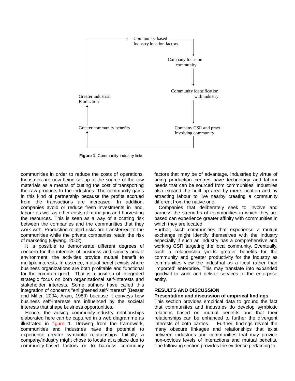

**Figure 1: Community-industry links** 

communities in order to reduce the costs of operations. Industries are now being set up at the source of the raw materials as a means of cutting the cost of transporting the raw products to the industries. The community gains in this kind of partnership because the profits accrued from the transactions are increased. In addition, companies avoid or reduce fresh investments in land, labour as well as other costs of managing and harvesting the resources. This is seen as a way of allocating risk between the companies and the communities that they work with. Production-related risks are transferred to the communities while the private companies retain the risk of marketing (Ojwang, 2002).

It is possible to demonstrate different degrees of concern for the interests of business and society and/or environment, the activities provide mutual benefit to multiple interests. In essence, mutual benefit exists where business organizations are both profitable and functional for the common good. That is a position of integrated strategic focus on both organizational self-interests and stakeholder interests. Some authors have called this integration of concerns "enlightened self-interest" (Besser and Miller, 2004; Aram, 1989) because it conveys how business self-interests are influenced by the societal interests that shape business opportunities.

Hence, the arising community-industry relationships elaborated here can be captured in a web diagramme as illustrated in figure 1. Drawing from the framework, communities and industries have the potential to experience greater symbiotic relationships. Initially, a company/industry might chose to locate at a place due to community-based factors or to harness community

factors that may be of advantage. Industries by virtue of being production centres have technology and labour needs that can be sourced from communities. Industries also expand the built up area by mere location and by attracting labour to live nearby creating a community different from the native one.

Companies that deliberately seek to involve and harness the strengths of communities in which they are based can experience greater affinity with communities in which they are located.

Further, such communities that experience a mutual exchange might identify themselves with the industry especially if such an industry has a comprehensive and working CSR targeting the local community. Eventually, such a relationship yields greater benefits for the community and greater productivity for the industry as communities view the industrial as a local rather than 'imported' enterprise. This may translate into expanded goodwill to work and deliver services to the enterprise entity.

#### **RESULTS AND DISCUSSION**

#### **Presentation and discussion of empirical findings**

This section provides empirical data to ground the fact that communities and industries do develop symbiotic relations based on mutual benefits and that their relationships can be enhanced to further the divergent interests of both parties. Further, findings reveal the many obscure linkages and relationships that exist between industries and communities that may provide non-obvious levels of interactions and mutual benefits. The following section provides the evidence pertaining to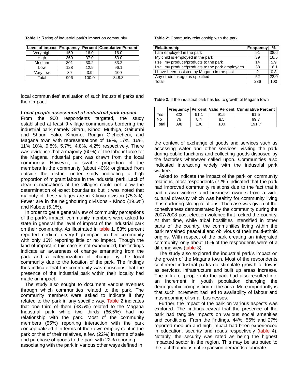|  |  |  |  |  |  | <b>Table 1:</b> Rating of industrial park's impact on community |
|--|--|--|--|--|--|-----------------------------------------------------------------|
|--|--|--|--|--|--|-----------------------------------------------------------------|

|           |     |       | Level of impact   Frequency   Percent   Cumulative Percent |  |
|-----------|-----|-------|------------------------------------------------------------|--|
| Very high | 159 | 16.0  | 16.0                                                       |  |
| High      | 369 | 37.0  | 53.0                                                       |  |
| Medium    | 301 | 30.2  | 83.2                                                       |  |
| Low       | 128 | 12.9  | 96.1                                                       |  |
| Very low  | 39  | 3.9   | 100                                                        |  |
| Total     | 996 | 100.0 | 348.3                                                      |  |

local communities' evaluation of such industrial parks and their impact.

#### *Local people assessment of industrial park impact*

From the 900 respondents targeted, the study established at least 9 village communities bordering the industrial park namely Gitaru, Kinoo, Muthiga, Gaitumbi and Shauri Yako, Kihumo, Rungiri Gichecheni, and Magana town with representations of 19%, 17%, 16%, 11% 10%, 9.8%, 5.7%, 4.8%, 4.2% respectively. There was evidence that a majority (60%) of the labour force for the Magana Industrial park was drawn from the local community. However, a sizable proportion of the members in the community (about 40%) originated from outside the district under study indicating a high proportion of migrant labour in the industrial park. Lack of clear demarcations of the villages could not allow the determination of exact boundaries but it was noted that majority of these villages are in Kikuyu division (75.3%). Fewer are in the neighbouring divisions - Kinoo (19.6%) and Kabete (5.1%).

In order to get a general view of community perceptions of the park's impact, community members were asked to state in general the level of impact of the industrial park on their community. As illustrated in table 1, 83% percent reported medium to very high impact on their community with only 16% reporting little or no impact. Though the kind of impact in this case is not expounded, the findings indicate an awareness of change emanating from the park and a categorization of change by the local community due to the location of the park. The findings thus indicate that the community was conscious that the presence of the industrial park within their locality had made an impact.

The study also sought to document various avenues through which communities related to the park. The community members were asked to indicate if they related to the park in any specific way. Table 2 indicates that one third of them (33.5%) related to the Magana Industrial park while two thirds (66.5%) had no relationship with the park. Most of the community members (55%) reporting interaction with the park conceptualized it in terms of their own employment in the park or that of their relatives, a few (22%) in terms of sale and purchase of goods to the park with 22% reporting associating with the park in various other ways defined in

**Table 2:** Community relationship with the park

| Relationship                                     | <b>Frequency</b> | %    |
|--------------------------------------------------|------------------|------|
| I am employed in the park                        | 91               | 38.6 |
| My child is employed in the park                 | 39               | 16.5 |
| I sell my produce/products to the park           | 14               | 5.9  |
| I sell my produce/products to the park employees | 38               | 16.1 |
| I have been assisted by Magana in the past       | 2                | 0.8  |
| Any other linkage as specified                   | 52               | 22.0 |
| Total                                            | 236              | 100  |

**Table 3:** If the industrial park has led to growth of Magana town

|       |     |      |      | Frequency   Percent   Valid Percent   Cumulative Percent |
|-------|-----|------|------|----------------------------------------------------------|
| Yes   | 822 | 91.1 | 91.5 | 91.5                                                     |
| No    | 76  | 8.4  | 8.5  | 99.                                                      |
| Total | 898 | 100  | 100  | 191.                                                     |

the context of exchange of goods and services such as accessing water and other services, visiting the park during public functions and collecting goods disposed by the factories whenever called upon. Communities also indicated interacting widely with the industrial park workers.

Asked to indicate the impact of the park on community relations, most respondents (72%) indicated that the park had improved community relations due to the fact that it had drawn workers and business owners from a wide cultural diversity which was healthy for community living thus nurturing strong relations. The case was given of the cohesiveness demonstrated by the community during the 2007/2008 post election violence that rocked the country. At that time, while tribal hostilities intensified in other parts of the country, the communities living within the park remained peaceful and oblivious of their multi-ethnic origins. With respect of the park creating an integrated community, only about 15% of the respondents were of a differing view (table 3).

The study also explored the industrial park's impact on the growth of the Magana town. Most of the respondents confirmed industrial parks do stimulate growth of towns as services, infrastructure and built up areas increase. The influx of people into the park had also resulted into an increment in youth population changing the demographic composition of the area. More importantly is that such increment had led to availability of labour and mushrooming of small businesses.

Further, the impact of the park on various aspects was explored. The findings reveal that the presence of the park had tangible impacts on various social amenities and conditions. From the findings, 44%, 56% and 27% reported medium and high impact had been experienced in education, security and roads respectively (table 4). Notably, the security was rated as being the highest impacted sector in the region. This may be attributed to the fact that industrial expansion demands elaborate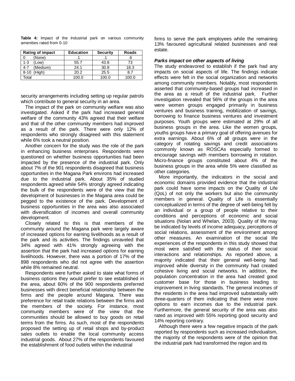| <b>Rating of impact</b> | <b>Education</b> | <b>Security</b> | <b>Roads</b> |  |
|-------------------------|------------------|-----------------|--------------|--|
| (None)                  |                  |                 | .b           |  |
| (Low)<br>1-3            | 55.7             | 43.8            | 73           |  |
| (Medium)<br>4-7         | 24.1             | 30.8            | 18.3         |  |
| Hiah)<br>$8 - 10$       | 20.2             | 25.5            | 8.7          |  |
| Total                   | 100.0            | 100.0           | 100.0        |  |

**Table 4:** Impact of the Industrial park on various community amenities rated from 0-10

security arrangements including setting up regular patrols which contribute to general security in an area.

The impact of the park on community welfare was also investigated. Asked if the park had increased general welfare of the community 43% agreed that their welfare and that of the other community members had improved as a result of the park. There were only 12% of respondents who strongly disagreed with this statement while 6% took a neutral position.

Another concern for the study was the role of the park in enhancing business enterprises. Respondents were questioned on whether business opportunities had been impacted by the presence of the industrial park. Only about 7% of the 901 respondents disagreed that business opportunities in the Magana Park environs had increased due to the industrial park. About 35% of studied respondents agreed while 54% strongly agreed indicating the bulk of the respondents were of the view that the development of businesses in the Magana area could be pegged to the existence of the park. Development of business opportunities in the area was also associated with diversification of incomes and overall community development.

Closely related to this is that members of the community around the Magana park were largely aware of increased options for earning livelihoods as a result of the park and its activities. The findings unraveled that 34% agreed with 41% strongly agreeing with the assertion that the park had increased options for earning livelihoods. However, there was a portion of 17% of the 898 respondents who did not agree with the assertion while 8% remained neutral.

Respondents were further asked to state what forms of business options they would prefer to see established in the area, about 60% of the 900 respondents preferred businesses with direct beneficial relationship between the firms and the people around Magana. There was preference for retail trade relations between the firms and the members of the society. For instance, most community members were of the view that the communities should be allowed to buy goods on retail terms from the firms. As such, most of the respondents proposed the setting up of retail shops and by-product sales outlets to enable the local community access industrial goods. About 27% of the respondents favoured the establishment of food outlets within the industrial

firms to serve the park employees while the remaining 13% favoured agricultural related businesses and real estate.

#### *Parks impact on other aspects of living*

The study endeavored to establish if the park had any impacts on social aspects of life. The findings indicate effects were felt in the social organization and networks among community members. Notably, most respondents asserted that community-based groups had increased in the area as a result of the industrial park. Further investigation revealed that 56% of the groups in the area were women groups engaged primarily in business ventures and business training, mobilization of savings, borrowing to finance business ventures and investment purposes. Youth groups were estimated at 29% of all business groups in the area. Like the women groups, youths groups have a primary goal of offering avenues for extra earnings. About 6% of all groups were in the category of rotating savings and credit associations commonly known as ROSCAs especially formed to encourage savings with members borrowing in rotation. Micro-finance groups constituted about 4% of the business groups in the area while 5% were classified as other categories.

More importantly, the indicators in the social and economic domains provided evidence that the industrial park could have some impacts on the Quality of Life (QoL) of not only the workers but also the community members in general. Quality of Life is essentially conceptualized in terms of the degree of well-being felt by an individual or a group of people relative to their conditions and perceptions of economic and social situations (Nolan and Whelan, 2003). Quality of life may be indicated by levels of income adequacy, perceptions of social relations, assessment of the environment among other measures. An examination of the social life experiences of the respondents in this study showed that most were satisfied with the status of their social interactions and relationships. As reported above, a majority indicated that their general well-being had improved while diversity in the community had created cohesive living and social networks. In addition, the population concentration in the area had created good customer base for those in business leading to improvement in living standards. The general incomes of the residents in the area had improved substantially with three-quarters of them indicating that there were more options to earn incomes due to the industrial park. Furthermore, the general security of the area was also rated as improved with 55% reporting good security and 14% reporting contrary.

Although there were a few negative impacts of the park reported by respondents such as increased individualism, the majority of the respondents were of the opinion that the industrial park had transformed the region and its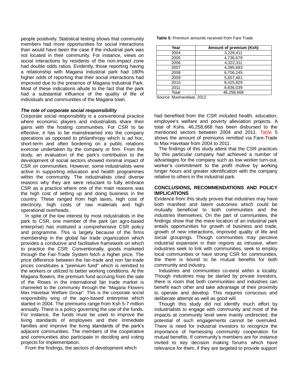people positively. Statistical testing shows that community members had more opportunities for social interactions than would have been the case if the industrial park was not located in their community. For instance, views on social interactions by residents of the non-impact zone had double odds ratios. Evidently, those reporting having a relationship with Magana industrial park had 180% higher odds of reporting that their social interactions had improved due to the presence of Magana Industrial Park. Most of these indications allude to the fact that the park had a substantial influence of the quality of life of individuals and communities of the Magana town.

#### *The role of corporate social responsibility*

Corporate social responsibility is a conventional practice where economic players and industrialists share their gains with the hosting communities. For CSR to be effective, it has to be mainstreamed into the company operations as opposed to philanthropy which is *ad hoc*, short-term and often bordering on a public relations exercise undertaken by the company or firm. From the study, an evaluation of the park's contribution to the development of social sectors showed minimal impact of CSR on communities. However, some industrialists were active in supporting education and health programmes within the community. The industrialists cited diverse reasons why they are were reluctant to fully embrace CSR as a practice where one of the main reasons was the high cost of setting up and doing business in the country. These ranged from high taxes, high cost of electricity, high costs of raw materials and high operational overheads.

In spite of the low interest by most industrialists in the park to CSR, one member of the park (an agro-based enterprise) has instituted a comprehensive CSR policy and programme. This is largely because of the firms membership in the global fair trade organization which provides a conducive and facilitative framework on which to practice the CSR. Conventionally, goods marketed through the Fair-Trade System fetch a higher price. The price difference between the fair-trade and non fair-trade prices constitutes a "premium fund" which is remitted to the workers or utilized to better working conditions. At the Magana flowers, the premium fund accruing from the sale of the Roses in the international fair trade market is channeled to the community through the "Magana Flowers Max Havelaar Welfare Group". This is the corporate social responsibility wing of the agro-based enterprise which started in 2004. The premiums range from Ksh 5-7 million annually. There is a policy governing the use of the funds. For instance, the funds must be used to improve the living standards of employees and their immediate families and improve the living standards of the park's adjacent communities. The members of the cooperative and communities also participate in deciding and voting projects for implementation.

From the findings, the sectors of development which

**Table 5:** Premium amounts received from Fare Trade

| Year  | Amount of premium (Ksh) |
|-------|-------------------------|
| 2004  | 3,228,411               |
| 2005  | 4,736,679               |
| 2006  | 4,322,311               |
| 2007  | 4,395,693               |
| 2008  | 6,706,245               |
| 2009  | 5,607,461               |
| 2010  | 8,425,829               |
| 2011  | 8,836,039               |
| Total | 46.258.668              |

Source: Maxhavelaar, 2012

had benefited from the CSR included health, education, employee's welfare and poverty alleviation projects. A total of Kshs. 46,258,668 has been disbursed to the mentioned sectors between 2004 and 2011. Table 5 shows the amount of premiums remitted via Fare-Trade to Max Havelaar from 2004 to 2011.

The findings of this study attest that the CSR practices by this particular company had achieved a number of advantages for the company such as low worker turn-out, worker's commitment to the profit motive by working longer hours and greater identification with the company relative to others in the industrial park.

#### **CONCLUSIONS, RECOMMENDATIONS AND POLICY IMPLICATIONS**

Evidence from this study proves that industries may have both manifest and latent outcomes which could be mutually beneficial to both communities and the industries themselves. On the part of communities, the findings show that the mere location of an industrial park entails opportunities for growth of business and trade, growth of new interactions, improved quality of life and social groupings. Though communities may perceive industrial expansion in their regions as intrusive, when industries seek to link with communities, seek to employ local communities or have strong CSR for communities, the there is bound to be mutual benefits for both community and industry.

Industries and communities co-exist within a locality. Though industries may be started by private investors, there is room that both communities and industries can benefit each other and take advantage of their proximity to operate and develop. This requires conscious and deliberate attempt as well as good will.

Though this study did not identify much effort by industrialists to engage with community and most of the impacts at community level were mainly undirected, the potential of such engagements cannot be overruled. There is need for industrial investors to recognize the importance of harnessing community cooperation for mutual benefits. If community's members are for instance invited to key decision making forums which have relevance for them, if they are targeted to provide support